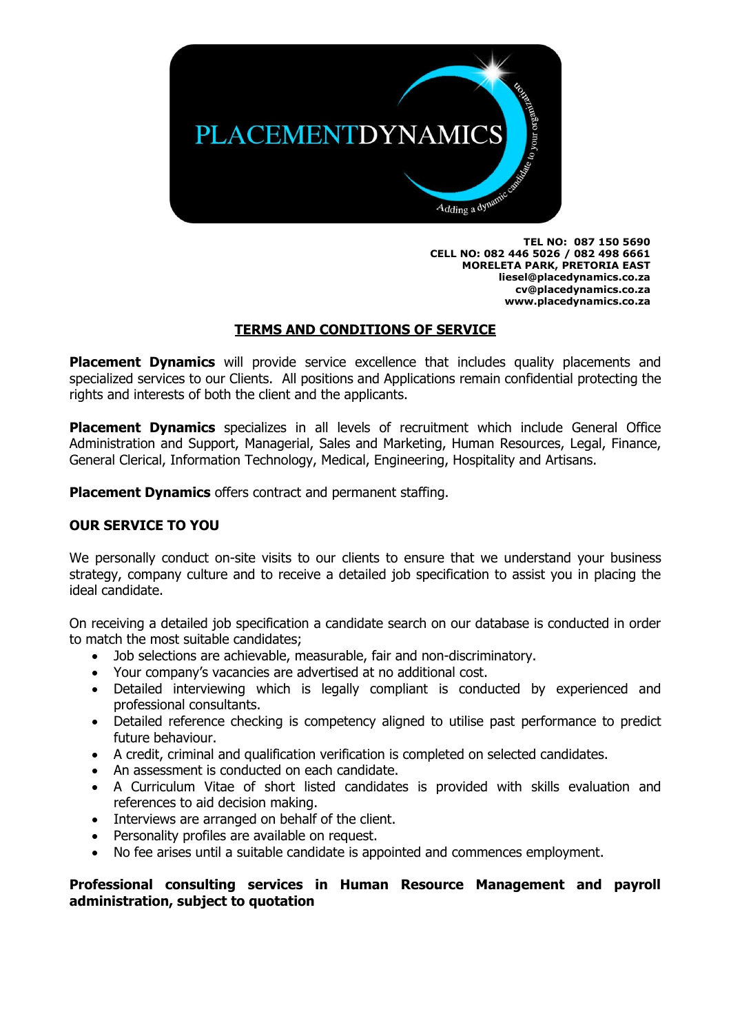

**TEL NO: 087 150 5690 CELL NO: 082 446 5026 / 082 498 6661 MORELETA PARK, PRETORIA EAST [liesel@placedynamics.co.za](mailto:liesel@placedynamics.co.za) cv@placedynamics.co.za www.placedynamics.co.za**

### **TERMS AND CONDITIONS OF SERVICE**

**Placement Dynamics** will provide service excellence that includes quality placements and specialized services to our Clients. All positions and Applications remain confidential protecting the rights and interests of both the client and the applicants.

**Placement Dynamics** specializes in all levels of recruitment which include General Office Administration and Support, Managerial, Sales and Marketing, Human Resources, Legal, Finance, General Clerical, Information Technology, Medical, Engineering, Hospitality and Artisans.

**Placement Dynamics** offers contract and permanent staffing.

### **OUR SERVICE TO YOU**

We personally conduct on-site visits to our clients to ensure that we understand your business strategy, company culture and to receive a detailed job specification to assist you in placing the ideal candidate.

On receiving a detailed job specification a candidate search on our database is conducted in order to match the most suitable candidates;

- Job selections are achievable, measurable, fair and non-discriminatory.
- Your company's vacancies are advertised at no additional cost.
- Detailed interviewing which is legally compliant is conducted by experienced and professional consultants.
- Detailed reference checking is competency aligned to utilise past performance to predict future behaviour.
- A credit, criminal and qualification verification is completed on selected candidates.
- An assessment is conducted on each candidate.
- A Curriculum Vitae of short listed candidates is provided with skills evaluation and references to aid decision making.
- Interviews are arranged on behalf of the client.
- Personality profiles are available on request.
- No fee arises until a suitable candidate is appointed and commences employment.

#### **Professional consulting services in Human Resource Management and payroll administration, subject to quotation**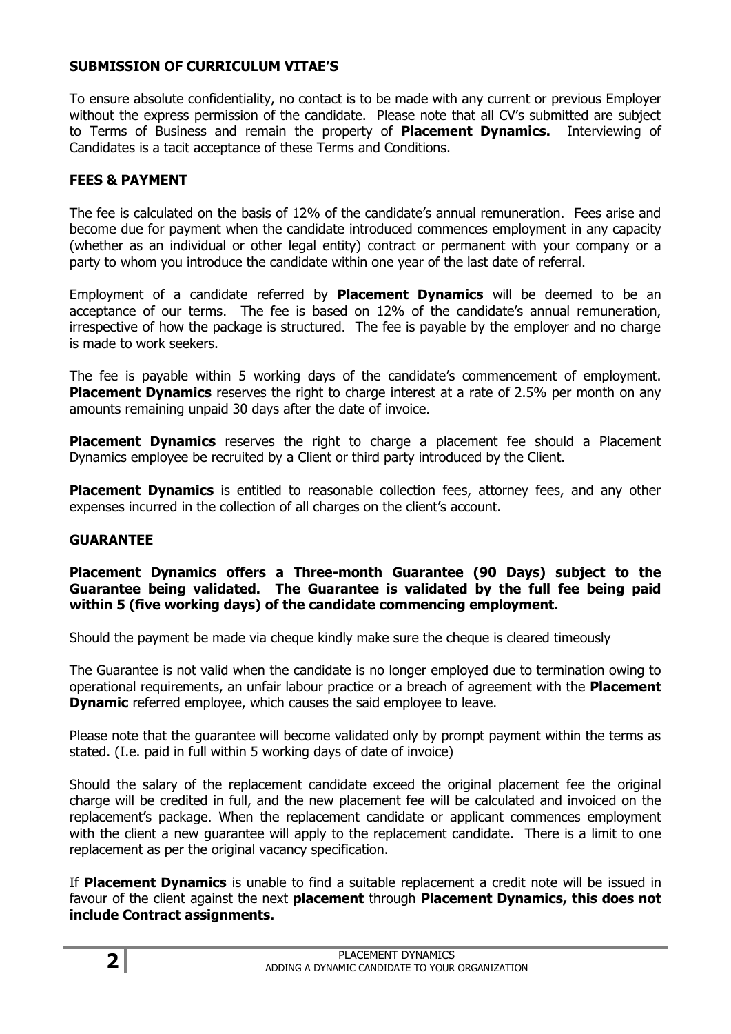## **SUBMISSION OF CURRICULUM VITAE'S**

To ensure absolute confidentiality, no contact is to be made with any current or previous Employer without the express permission of the candidate. Please note that all CV's submitted are subject to Terms of Business and remain the property of **Placement Dynamics.** Interviewing of Candidates is a tacit acceptance of these Terms and Conditions.

## **FEES & PAYMENT**

The fee is calculated on the basis of 12% of the candidate's annual remuneration. Fees arise and become due for payment when the candidate introduced commences employment in any capacity (whether as an individual or other legal entity) contract or permanent with your company or a party to whom you introduce the candidate within one year of the last date of referral.

Employment of a candidate referred by **Placement Dynamics** will be deemed to be an acceptance of our terms. The fee is based on 12% of the candidate's annual remuneration, irrespective of how the package is structured. The fee is payable by the employer and no charge is made to work seekers.

The fee is payable within 5 working days of the candidate's commencement of employment. **Placement Dynamics** reserves the right to charge interest at a rate of 2.5% per month on any amounts remaining unpaid 30 days after the date of invoice.

**Placement Dynamics** reserves the right to charge a placement fee should a Placement Dynamics employee be recruited by a Client or third party introduced by the Client.

**Placement Dynamics** is entitled to reasonable collection fees, attorney fees, and any other expenses incurred in the collection of all charges on the client's account.

### **GUARANTEE**

#### **Placement Dynamics offers a Three-month Guarantee (90 Days) subject to the Guarantee being validated. The Guarantee is validated by the full fee being paid within 5 (five working days) of the candidate commencing employment.**

Should the payment be made via cheque kindly make sure the cheque is cleared timeously

The Guarantee is not valid when the candidate is no longer employed due to termination owing to operational requirements, an unfair labour practice or a breach of agreement with the **Placement Dynamic** referred employee, which causes the said employee to leave.

Please note that the guarantee will become validated only by prompt payment within the terms as stated. (I.e. paid in full within 5 working days of date of invoice)

Should the salary of the replacement candidate exceed the original placement fee the original charge will be credited in full, and the new placement fee will be calculated and invoiced on the replacement's package. When the replacement candidate or applicant commences employment with the client a new guarantee will apply to the replacement candidate. There is a limit to one replacement as per the original vacancy specification.

If **Placement Dynamics** is unable to find a suitable replacement a credit note will be issued in favour of the client against the next **placement** through **Placement Dynamics, this does not include Contract assignments.**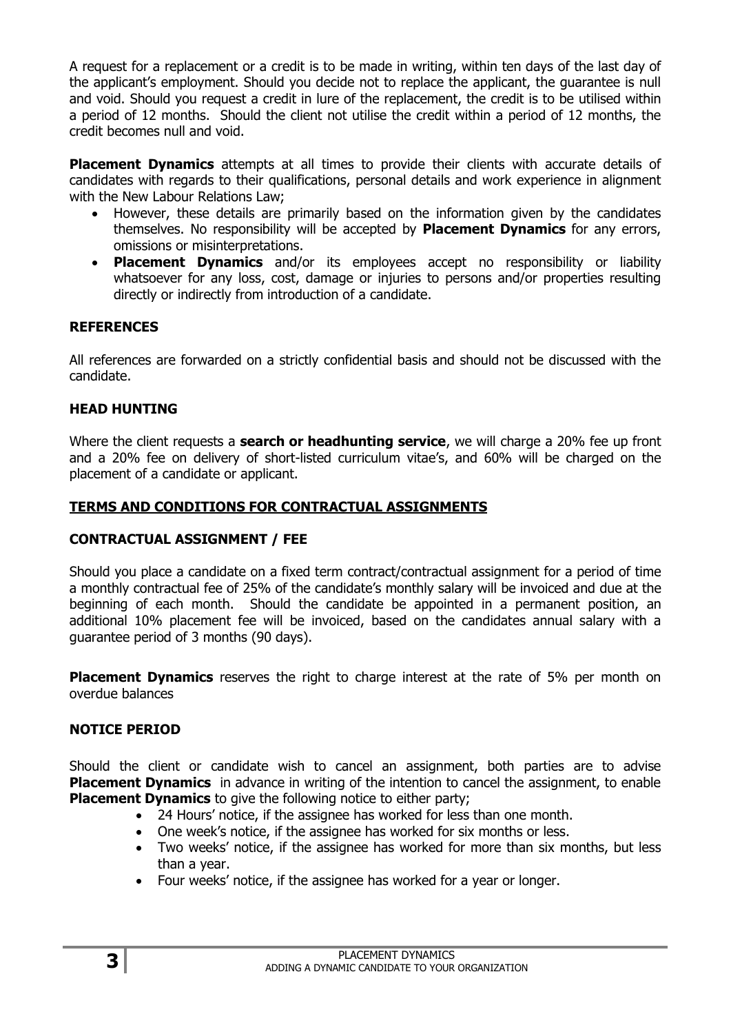A request for a replacement or a credit is to be made in writing, within ten days of the last day of the applicant's employment. Should you decide not to replace the applicant, the guarantee is null and void. Should you request a credit in lure of the replacement, the credit is to be utilised within a period of 12 months. Should the client not utilise the credit within a period of 12 months, the credit becomes null and void.

**Placement Dynamics** attempts at all times to provide their clients with accurate details of candidates with regards to their qualifications, personal details and work experience in alignment with the New Labour Relations Law;

- However, these details are primarily based on the information given by the candidates themselves. No responsibility will be accepted by **Placement Dynamics** for any errors, omissions or misinterpretations.
- **Placement Dynamics** and/or its employees accept no responsibility or liability whatsoever for any loss, cost, damage or injuries to persons and/or properties resulting directly or indirectly from introduction of a candidate.

# **REFERENCES**

All references are forwarded on a strictly confidential basis and should not be discussed with the candidate.

## **HEAD HUNTING**

Where the client requests a **search or headhunting service**, we will charge a 20% fee up front and a 20% fee on delivery of short-listed curriculum vitae's, and 60% will be charged on the placement of a candidate or applicant.

### **TERMS AND CONDITIONS FOR CONTRACTUAL ASSIGNMENTS**

### **CONTRACTUAL ASSIGNMENT / FEE**

Should you place a candidate on a fixed term contract/contractual assignment for a period of time a monthly contractual fee of 25% of the candidate's monthly salary will be invoiced and due at the beginning of each month. Should the candidate be appointed in a permanent position, an additional 10% placement fee will be invoiced, based on the candidates annual salary with a guarantee period of 3 months (90 days).

**Placement Dynamics** reserves the right to charge interest at the rate of 5% per month on overdue balances

# **NOTICE PERIOD**

Should the client or candidate wish to cancel an assignment, both parties are to advise **Placement Dynamics** in advance in writing of the intention to cancel the assignment, to enable **Placement Dynamics** to give the following notice to either party;

- 24 Hours' notice, if the assignee has worked for less than one month.
- One week's notice, if the assignee has worked for six months or less.
- Two weeks' notice, if the assignee has worked for more than six months, but less than a year.
- Four weeks' notice, if the assignee has worked for a year or longer.